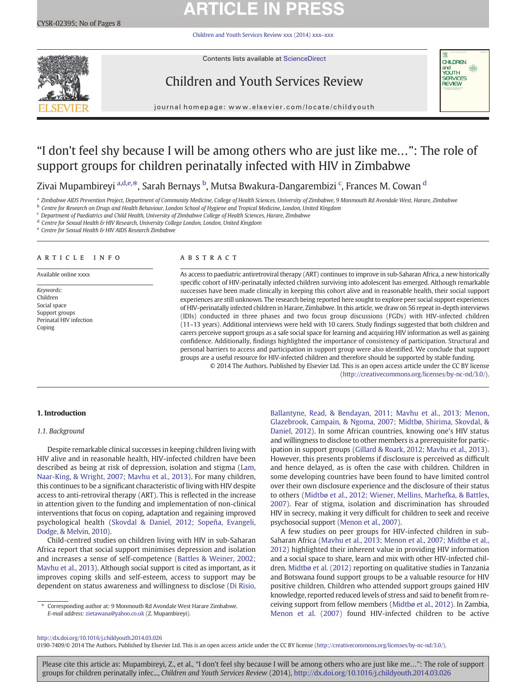# **ARTICLE IN PRESS**

[Children and Youth Services Review xxx \(2014\) xxx](http://dx.doi.org/10.1016/j.childyouth.2014.03.026)–xxx



Contents lists available at [ScienceDirect](http://www.sciencedirect.com/science/journal/01907409)

## Children and Youth Services Review



journal homepage: www.elsevier.com/locate/childyouth

## "I don't feel shy because I will be among others who are just like me…": The role of support groups for children perinatally infected with HIV in Zimbabwe

Zivai Mupambireyi <sup>a,d,e, $\ast$ , Sarah Bernays <sup>b</sup>, Mutsa Bwakura-Dangarembizi <sup>c</sup>, Frances M. Cowan <sup>d</sup></sup>

a Zimbabwe AIDS Prevention Project, Department of Community Medicine, College of Health Sciences, University of Zimbabwe, 9 Monmouth Rd Avondale West, Harare, Zimbabwe

<sup>b</sup> Centre for Research on Drugs and Health Behaviour, London School of Hygiene and Tropical Medicine, London, United Kingdom

<sup>c</sup> Department of Paediatrics and Child Health, University of Zimbabwe College of Health Sciences, Harare, Zimbabwe

<sup>d</sup> Centre for Sexual Health & HIV Research, University College London, London, United Kingdom

<sup>e</sup> Centre for Sexual Health & HIV AIDS Research Zimbabwe

### article info abstract

Available online xxxx

Keywords: Children Social space Support groups Perinatal HIV infection Coping

As access to paediatric antiretroviral therapy (ART) continues to improve in sub-Saharan Africa, a new historically specific cohort of HIV-perinatally infected children surviving into adolescent has emerged. Although remarkable successes have been made clinically in keeping this cohort alive and in reasonable health, their social support experiences are still unknown. The research being reported here sought to explore peer social support experiences of HIV-perinatally infected children in Harare, Zimbabwe. In this article, we draw on 56 repeat in-depth interviews (IDIs) conducted in three phases and two focus group discussions (FGDs) with HIV-infected children (11–13 years). Additional interviews were held with 10 carers. Study findings suggested that both children and carers perceive support groups as a safe social space for learning and acquiring HIV information as well as gaining confidence. Additionally, findings highlighted the importance of consistency of participation. Structural and personal barriers to access and participation in support group were also identified. We conclude that support groups are a useful resource for HIV-infected children and therefore should be supported by stable funding.

© 2014 The Authors. Published by Elsevier Ltd. This is an open access article under the CC BY license ([http://creativecommons.org/licenses/by-nc-nd/3.0/\)](http://creativecommons.org/licenses/by-nc-nd/3.0/).

### 1. Introduction

### 1.1. Background

Despite remarkable clinical successes in keeping children living with HIV alive and in reasonable health, HIV-infected children have been described as being at risk of depression, isolation and stigma [\(Lam,](#page-6-0) [Naar-King, & Wright, 2007; Mavhu et al., 2013\)](#page-6-0). For many children, this continues to be a significant characteristic of living with HIV despite access to anti-retroviral therapy (ART). This is reflected in the increase in attention given to the funding and implementation of non-clinical interventions that focus on coping, adaptation and regaining improved psychological health [\(Skovdal & Daniel, 2012; Sopeña, Evangeli,](#page-6-0) [Dodge, & Melvin, 2010](#page-6-0)).

Child-centred studies on children living with HIV in sub-Saharan Africa report that social support minimises depression and isolation and increases a sense of self-competence ([Battles & Weiner, 2002;](#page-6-0) [Mavhu et al., 2013](#page-6-0)). Although social support is cited as important, as it improves coping skills and self-esteem, access to support may be dependent on status awareness and willingness to disclose ([Di Risio,](#page-6-0)

[Ballantyne, Read, & Bendayan, 2011; Mavhu et al., 2013; Menon,](#page-6-0) [Glazebrook, Campain, & Ngoma, 2007; Midtbø, Shirima, Skovdal, &](#page-6-0) [Daniel, 2012](#page-6-0)). In some African countries, knowing one's HIV status and willingness to disclose to other members is a prerequisite for participation in support groups ([Gillard & Roark, 2012; Mavhu et al., 2013](#page-6-0)). However, this presents problems if disclosure is perceived as difficult and hence delayed, as is often the case with children. Children in some developing countries have been found to have limited control over their own disclosure experience and the disclosure of their status to others ([Midtbø et al., 2012; Wiener, Mellins, Marhefka, & Battles,](#page-6-0) [2007\)](#page-6-0). Fear of stigma, isolation and discrimination has shrouded HIV in secrecy, making it very difficult for children to seek and receive psychosocial support [\(Menon et al., 2007](#page-6-0)).

A few studies on peer groups for HIV-infected children in sub-Saharan Africa ([Mavhu et al., 2013; Menon et al., 2007; Midtbø et al.,](#page-6-0) [2012\)](#page-6-0) highlighted their inherent value in providing HIV information and a social space to share, learn and mix with other HIV-infected children. [Midtbø et al. \(2012\)](#page-6-0) reporting on qualitative studies in Tanzania and Botswana found support groups to be a valuable resource for HIV positive children. Children who attended support groups gained HIV knowledge, reported reduced levels of stress and said to benefit from receiving support from fellow members [\(Midtbø et al., 2012](#page-6-0)). In Zambia, [Menon et al. \(2007\)](#page-6-0) found HIV-infected children to be active

### <http://dx.doi.org/10.1016/j.childyouth.2014.03.026>

0190-7409/© 2014 The Authors. Published by Elsevier Ltd. This is an open access article under the CC BY license (<http://creativecommons.org/licenses/by-nc-nd/3.0/>).

<sup>⁎</sup> Corresponding author at: 9 Monmouth Rd Avondale West Harare Zimbabwe. E-mail address: [zietawana@yahoo.co.uk](mailto:) (Z. Mupambireyi).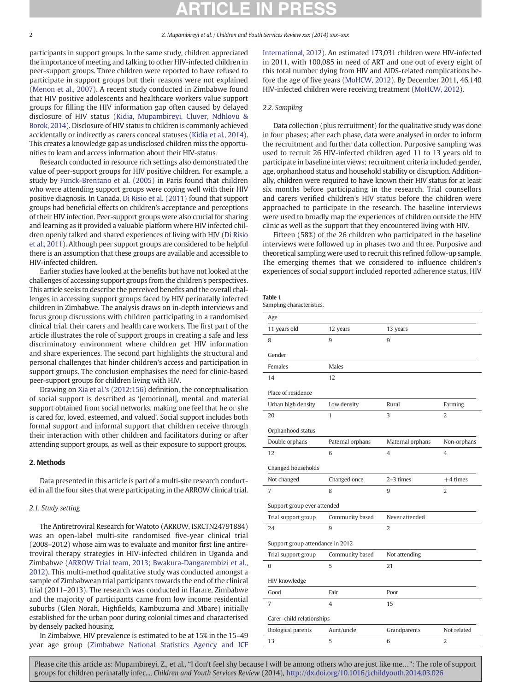<span id="page-1-0"></span>participants in support groups. In the same study, children appreciated the importance of meeting and talking to other HIV-infected children in peer-support groups. Three children were reported to have refused to participate in support groups but their reasons were not explained [\(Menon et al., 2007\)](#page-6-0). A recent study conducted in Zimbabwe found that HIV positive adolescents and healthcare workers value support groups for filling the HIV information gap often caused by delayed disclosure of HIV status ([Kidia, Mupambireyi, Cluver, Ndhlovu &](#page-6-0) [Borok, 2014\)](#page-6-0). Disclosure of HIV status to children is commonly achieved accidentally or indirectly as carers conceal statuses [\(Kidia et al., 2014\)](#page-6-0). This creates a knowledge gap as undisclosed children miss the opportunities to learn and access information about their HIV-status.

Research conducted in resource rich settings also demonstrated the value of peer-support groups for HIV positive children. For example, a study by [Funck-Brentano et al. \(2005\)](#page-6-0) in Paris found that children who were attending support groups were coping well with their HIV positive diagnosis. In Canada, [Di Risio et al. \(2011\)](#page-6-0) found that support groups had beneficial effects on children's acceptance and perceptions of their HIV infection. Peer-support groups were also crucial for sharing and learning as it provided a valuable platform where HIV infected children openly talked and shared experiences of living with HIV ([Di Risio](#page-6-0) [et al., 2011\)](#page-6-0). Although peer support groups are considered to be helpful there is an assumption that these groups are available and accessible to HIV-infected children.

Earlier studies have looked at the benefits but have not looked at the challenges of accessing support groups from the children's perspectives. This article seeks to describe the perceived benefits and the overall challenges in accessing support groups faced by HIV perinatally infected children in Zimbabwe. The analysis draws on in-depth interviews and focus group discussions with children participating in a randomised clinical trial, their carers and health care workers. The first part of the article illustrates the role of support groups in creating a safe and less discriminatory environment where children get HIV information and share experiences. The second part highlights the structural and personal challenges that hinder children's access and participation in support groups. The conclusion emphasises the need for clinic-based peer-support groups for children living with HIV.

Drawing on [Xia et al.'s \(2012:156\)](#page-7-0) definition, the conceptualisation of social support is described as '[emotional], mental and material support obtained from social networks, making one feel that he or she is cared for, loved, esteemed, and valued'. Social support includes both formal support and informal support that children receive through their interaction with other children and facilitators during or after attending support groups, as well as their exposure to support groups.

### 2. Methods

Data presented in this article is part of a multi-site research conducted in all the four sites that were participating in the ARROW clinical trial.

### 2.1. Study setting

The Antiretroviral Research for Watoto (ARROW, ISRCTN24791884) was an open-label multi-site randomised five-year clinical trial (2008–2012) whose aim was to evaluate and monitor first line antiretroviral therapy strategies in HIV-infected children in Uganda and Zimbabwe [\(ARROW Trial team, 2013; Bwakura-Dangarembizi et al.,](#page-6-0) [2012\)](#page-6-0). This multi-method qualitative study was conducted amongst a sample of Zimbabwean trial participants towards the end of the clinical trial (2011–2013). The research was conducted in Harare, Zimbabwe and the majority of participants came from low income residential suburbs (Glen Norah, Highfields, Kambuzuma and Mbare) initially established for the urban poor during colonial times and characterised by densely packed housing.

In Zimbabwe, HIV prevalence is estimated to be at 15% in the 15–49 year age group ([Zimbabwe National Statistics Agency and ICF](#page-7-0) [International, 2012](#page-7-0)). An estimated 173,031 children were HIV-infected in 2011, with 100,085 in need of ART and one out of every eight of this total number dying from HIV and AIDS-related complications before the age of five years [\(MoHCW, 2012\)](#page-6-0). By December 2011, 46,140 HIV-infected children were receiving treatment ([MoHCW, 2012\)](#page-6-0).

### 2.2. Sampling

Data collection (plus recruitment) for the qualitative study was done in four phases; after each phase, data were analysed in order to inform the recruitment and further data collection. Purposive sampling was used to recruit 26 HIV-infected children aged 11 to 13 years old to participate in baseline interviews; recruitment criteria included gender, age, orphanhood status and household stability or disruption. Additionally, children were required to have known their HIV status for at least six months before participating in the research. Trial counsellors and carers verified children's HIV status before the children were approached to participate in the research. The baseline interviews were used to broadly map the experiences of children outside the HIV clinic as well as the support that they encountered living with HIV.

Fifteen (58%) of the 26 children who participated in the baseline interviews were followed up in phases two and three. Purposive and theoretical sampling were used to recruit this refined follow-up sample. The emerging themes that we considered to influence children's experiences of social support included reported adherence status, HIV

### Table 1

Sampling characteristics.

| Age                                                      |                  |                  |                |  |  |  |
|----------------------------------------------------------|------------------|------------------|----------------|--|--|--|
| 11 years old                                             | 12 years         | 13 years         |                |  |  |  |
| 8                                                        | 9                | 9                |                |  |  |  |
| Gender                                                   |                  |                  |                |  |  |  |
| Females                                                  | Males            |                  |                |  |  |  |
| 14                                                       | 12               |                  |                |  |  |  |
| Place of residence                                       |                  |                  |                |  |  |  |
| Urban high density                                       | Low density      | Rural            | Farming        |  |  |  |
| 20                                                       | 1                | 3                | $\overline{2}$ |  |  |  |
|                                                          |                  |                  |                |  |  |  |
| Orphanhood status                                        |                  |                  |                |  |  |  |
| Double orphans                                           | Paternal orphans | Maternal orphans | Non-orphans    |  |  |  |
| 12                                                       | 6                | 4                | $\overline{4}$ |  |  |  |
| Changed households                                       |                  |                  |                |  |  |  |
| Not changed                                              | Changed once     | 2-3 times        | $+4$ times     |  |  |  |
| $\overline{7}$                                           | 8                | 9                | 2              |  |  |  |
| Support group ever attended                              |                  |                  |                |  |  |  |
| Never attended<br>Trial support group<br>Community based |                  |                  |                |  |  |  |
| 24                                                       | 9                | $\overline{2}$   |                |  |  |  |
| Support group attendance in 2012                         |                  |                  |                |  |  |  |
| Trial support group                                      | Community based  | Not attending    |                |  |  |  |
|                                                          |                  |                  |                |  |  |  |
| $\Omega$                                                 | 5                | 21               |                |  |  |  |
| HIV knowledge                                            |                  |                  |                |  |  |  |
| Good                                                     | Fair             | Poor             |                |  |  |  |
| $\overline{7}$                                           | $\overline{4}$   | 15               |                |  |  |  |
| Carer-child relationships                                |                  |                  |                |  |  |  |
| <b>Biological parents</b>                                | Aunt/uncle       | Grandparents     | Not related    |  |  |  |
| 13                                                       | 5                | 6                | $\overline{2}$ |  |  |  |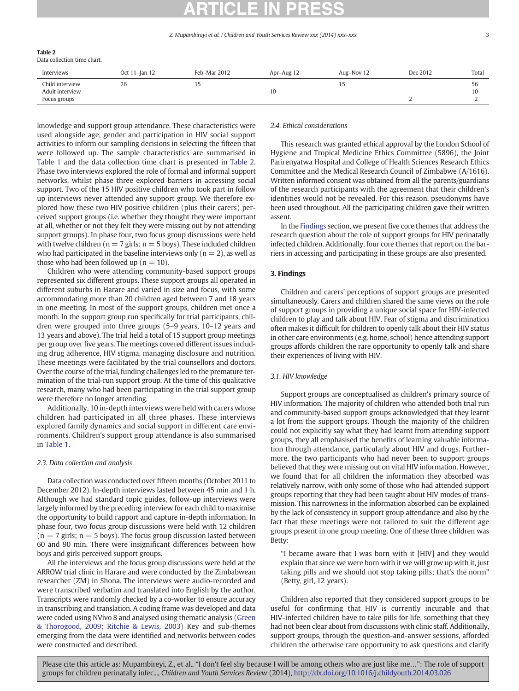### Table 2

Data collection time chart.

| Interviews      | Oct 11-Jan 12 | Feb-Mar 2012 | Apr-Aug 12 | Aug-Nov 12 | Dec 2012 | Total |
|-----------------|---------------|--------------|------------|------------|----------|-------|
| Child interview | 26            | 13           |            | 10         |          | 56    |
| Adult interview |               |              |            |            |          | 10    |
| Focus groups    |               |              |            |            |          |       |

knowledge and support group attendance. These characteristics were used alongside age, gender and participation in HIV social support activities to inform our sampling decisions in selecting the fifteen that were followed up. The sample characteristics are summarised in [Table 1](#page-1-0) and the data collection time chart is presented in Table 2. Phase two interviews explored the role of formal and informal support networks, whilst phase three explored barriers in accessing social support. Two of the 15 HIV positive children who took part in follow up interviews never attended any support group. We therefore explored how these two HIV positive children (plus their carers) perceived support groups (i.e. whether they thought they were important at all, whether or not they felt they were missing out by not attending support groups). In phase four, two focus group discussions were held with twelve children ( $n = 7$  girls;  $n = 5$  boys). These included children who had participated in the baseline interviews only  $(n = 2)$ , as well as those who had been followed up ( $n = 10$ ).

Children who were attending community-based support groups represented six different groups. These support groups all operated in different suburbs in Harare and varied in size and focus, with some accommodating more than 20 children aged between 7 and 18 years in one meeting. In most of the support groups, children met once a month. In the support group run specifically for trial participants, children were grouped into three groups (5–9 years, 10–12 years and 13 years and above). The trial held a total of 15 support group meetings per group over five years. The meetings covered different issues including drug adherence, HIV stigma, managing disclosure and nutrition. These meetings were facilitated by the trial counsellors and doctors. Over the course of the trial, funding challenges led to the premature termination of the trial-run support group. At the time of this qualitative research, many who had been participating in the trial support group were therefore no longer attending.

Additionally, 10 in-depth interviews were held with carers whose children had participated in all three phases. These interviews explored family dynamics and social support in different care environments. Children's support group attendance is also summarised in [Table 1.](#page-1-0)

### 2.3. Data collection and analysis

Data collection was conducted over fifteen months (October 2011 to December 2012). In-depth interviews lasted between 45 min and 1 h. Although we had standard topic guides, follow-up interviews were largely informed by the preceding interview for each child to maximise the opportunity to build rapport and capture in-depth information. In phase four, two focus group discussions were held with 12 children  $(n = 7$  girls;  $n = 5$  boys). The focus group discussion lasted between 60 and 90 min. There were insignificant differences between how boys and girls perceived support groups.

All the interviews and the focus group discussions were held at the ARROW trial clinic in Harare and were conducted by the Zimbabwean researcher (ZM) in Shona. The interviews were audio-recorded and were transcribed verbatim and translated into English by the author. Transcripts were randomly checked by a co-worker to ensure accuracy in transcribing and translation. A coding frame was developed and data were coded using NVivo 8 and analysed using thematic analysis [\(Green](#page-6-0) [& Thorogood, 2009; Ritchie & Lewis, 2003](#page-6-0)) Key and sub-themes emerging from the data were identified and networks between codes were constructed and described.

### 2.4. Ethical considerations

This research was granted ethical approval by the London School of Hygiene and Tropical Medicine Ethics Committee (5896), the Joint Parirenyatwa Hospital and College of Health Sciences Research Ethics Committee and the Medical Research Council of Zimbabwe (A/1616). Written informed consent was obtained from all the parents/guardians of the research participants with the agreement that their children's identities would not be revealed. For this reason, pseudonyms have been used throughout. All the participating children gave their written assent.

In the Findings section, we present five core themes that address the research question about the role of support groups for HIV perinatally infected children. Additionally, four core themes that report on the barriers in accessing and participating in these groups are also presented.

### 3. Findings

Children and carers' perceptions of support groups are presented simultaneously. Carers and children shared the same views on the role of support groups in providing a unique social space for HIV-infected children to play and talk about HIV. Fear of stigma and discrimination often makes it difficult for children to openly talk about their HIV status in other care environments (e.g. home, school) hence attending support groups affords children the rare opportunity to openly talk and share their experiences of living with HIV.

### 3.1. HIV knowledge

Support groups are conceptualised as children's primary source of HIV information. The majority of children who attended both trial run and community-based support groups acknowledged that they learnt a lot from the support groups. Though the majority of the children could not explicitly say what they had learnt from attending support groups, they all emphasised the benefits of learning valuable information through attendance, particularly about HIV and drugs. Furthermore, the two participants who had never been to support groups believed that they were missing out on vital HIV information. However, we found that for all children the information they absorbed was relatively narrow, with only some of those who had attended support groups reporting that they had been taught about HIV modes of transmission. This narrowness in the information absorbed can be explained by the lack of consistency in support group attendance and also by the fact that these meetings were not tailored to suit the different age groups present in one group meeting. One of these three children was Betty:

"I became aware that I was born with it [HIV] and they would explain that since we were born with it we will grow up with it, just taking pills and we should not stop taking pills; that's the norm" (Betty, girl, 12 years).

Children also reported that they considered support groups to be useful for confirming that HIV is currently incurable and that HIV-infected children have to take pills for life, something that they had not been clear about from discussions with clinic staff. Additionally, support groups, through the question-and-answer sessions, afforded children the otherwise rare opportunity to ask questions and clarify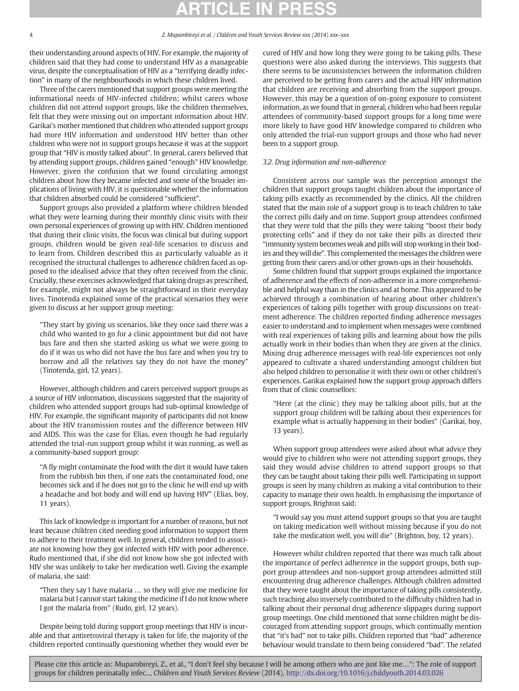their understanding around aspects of HIV. For example, the majority of children said that they had come to understand HIV as a manageable virus, despite the conceptualisation of HIV as a "terrifying deadly infection" in many of the neighbourhoods in which these children lived.

Three of the carers mentioned that support groups were meeting the informational needs of HIV-infected children; whilst carers whose children did not attend support groups, like the children themselves, felt that they were missing out on important information about HIV. Garikai's mother mentioned that children who attended support groups had more HIV information and understood HIV better than other children who were not in support groups because it was at the support group that "HIV is mostly talked about". In general, carers believed that by attending support groups, children gained "enough" HIV knowledge. However, given the confusion that we found circulating amongst children about how they became infected and some of the broader implications of living with HIV, it is questionable whether the information that children absorbed could be considered "sufficient".

Support groups also provided a platform where children blended what they were learning during their monthly clinic visits with their own personal experiences of growing up with HIV. Children mentioned that during their clinic visits, the focus was clinical but during support groups, children would be given real-life scenarios to discuss and to learn from. Children described this as particularly valuable as it recognised the structural challenges to adherence children faced as opposed to the idealised advice that they often received from the clinic. Crucially, these exercises acknowledged that taking drugs as prescribed, for example, might not always be straightforward in their everyday lives. Tinotenda explained some of the practical scenarios they were given to discuss at her support group meeting:

"They start by giving us scenarios, like they once said there was a child who wanted to go for a clinic appointment but did not have bus fare and then she started asking us what we were going to do if it was us who did not have the bus fare and when you try to borrow and all the relatives say they do not have the money" (Tinotenda, girl, 12 years).

However, although children and carers perceived support groups as a source of HIV information, discussions suggested that the majority of children who attended support groups had sub-optimal knowledge of HIV. For example, the significant majority of participants did not know about the HIV transmission routes and the difference between HIV and AIDS. This was the case for Elias, even though he had regularly attended the trial-run support group whilst it was running, as well as a community-based support group:

"A fly might contaminate the food with the dirt it would have taken from the rubbish bin then, if one eats the contaminated food, one becomes sick and if he does not go to the clinic he will end up with a headache and hot body and will end up having HIV" (Elias, boy, 11 years).

This lack of knowledge is important for a number of reasons, but not least because children cited needing good information to support them to adhere to their treatment well. In general, children tended to associate not knowing how they got infected with HIV with poor adherence. Rudo mentioned that, if she did not know how she got infected with HIV she was unlikely to take her medication well. Giving the example of malaria, she said:

"Then they say I have malaria … so they will give me medicine for malaria but I cannot start taking the medicine if I do not know where I got the malaria from" (Rudo, girl, 12 years).

Despite being told during support group meetings that HIV is incurable and that antiretroviral therapy is taken for life, the majority of the children reported continually questioning whether they would ever be cured of HIV and how long they were going to be taking pills. These questions were also asked during the interviews. This suggests that there seems to be inconsistencies between the information children are perceived to be getting from carers and the actual HIV information that children are receiving and absorbing from the support groups. However, this may be a question of on-going exposure to consistent information, as we found that in general, children who had been regular attendees of community-based support groups for a long time were more likely to have good HIV knowledge compared to children who only attended the trial-run support groups and those who had never been to a support group.

### 3.2. Drug information and non-adherence

Consistent across our sample was the perception amongst the children that support groups taught children about the importance of taking pills exactly as recommended by the clinics. All the children stated that the main role of a support group is to teach children to take the correct pills daily and on time. Support group attendees confirmed that they were told that the pills they were taking "boost their body protecting cells" and if they do not take their pills as directed their "immunity system becomes weak and pills will stop working in their bodies and they will die". This complemented the messages the children were getting from their carers and/or other grown-ups in their households.

Some children found that support groups explained the importance of adherence and the effects of non-adherence in a more comprehensible and helpful way than in the clinics and at home. This appeared to be achieved through a combination of hearing about other children's experiences of taking pills together with group discussions on treatment adherence. The children reported finding adherence messages easier to understand and to implement when messages were combined with real experiences of taking pills and learning about how the pills actually work in their bodies than when they are given at the clinics. Mixing drug adherence messages with real-life experiences not only appeared to cultivate a shared understanding amongst children but also helped children to personalise it with their own or other children's experiences. Garikai explained how the support group approach differs from that of clinic counsellors:

"Here (at the clinic) they may be talking about pills, but at the support group children will be talking about their experiences for example what is actually happening in their bodies" (Garikai, boy, 13 years).

When support group attendees were asked about what advice they would give to children who were not attending support groups, they said they would advise children to attend support groups so that they can be taught about taking their pills well. Participating in support groups is seen by many children as making a vital contribution to their capacity to manage their own health. In emphasising the importance of support groups, Brighton said:

"I would say you must attend support groups so that you are taught on taking medication well without missing because if you do not take the medication well, you will die" (Brighton, boy, 12 years).

However whilst children reported that there was much talk about the importance of perfect adherence in the support groups, both support group attendees and non-support group attendees admitted still encountering drug adherence challenges. Although children admitted that they were taught about the importance of taking pills consistently, such teaching also inversely contributed to the difficulty children had in talking about their personal drug adherence slippages during support group meetings. One child mentioned that some children might be discouraged from attending support groups, which continually mention that "it's bad" not to take pills. Children reported that "bad" adherence behaviour would translate to them being considered "bad". The related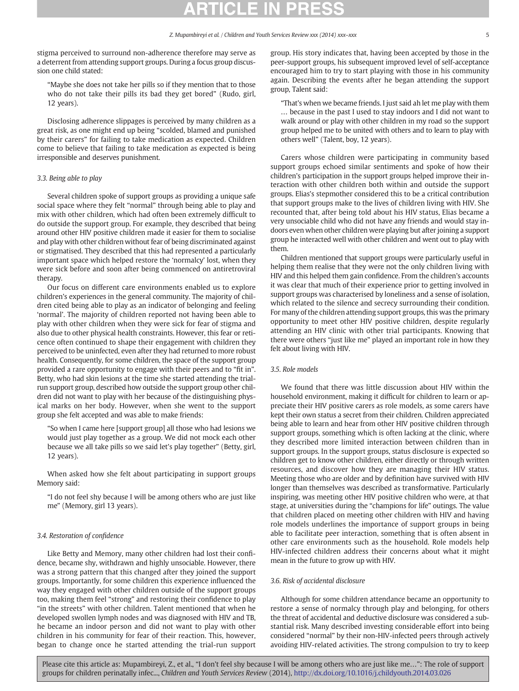stigma perceived to surround non-adherence therefore may serve as a deterrent from attending support groups. During a focus group discussion one child stated:

"Maybe she does not take her pills so if they mention that to those who do not take their pills its bad they get bored" (Rudo, girl, 12 years).

Disclosing adherence slippages is perceived by many children as a great risk, as one might end up being "scolded, blamed and punished by their carers" for failing to take medication as expected. Children come to believe that failing to take medication as expected is being irresponsible and deserves punishment.

### 3.3. Being able to play

Several children spoke of support groups as providing a unique safe social space where they felt "normal" through being able to play and mix with other children, which had often been extremely difficult to do outside the support group. For example, they described that being around other HIV positive children made it easier for them to socialise and play with other children without fear of being discriminated against or stigmatised. They described that this had represented a particularly important space which helped restore the 'normalcy' lost, when they were sick before and soon after being commenced on antiretroviral therapy.

Our focus on different care environments enabled us to explore children's experiences in the general community. The majority of children cited being able to play as an indicator of belonging and feeling 'normal'. The majority of children reported not having been able to play with other children when they were sick for fear of stigma and also due to other physical health constraints. However, this fear or reticence often continued to shape their engagement with children they perceived to be uninfected, even after they had returned to more robust health. Consequently, for some children, the space of the support group provided a rare opportunity to engage with their peers and to "fit in". Betty, who had skin lesions at the time she started attending the trialrun support group, described how outside the support group other children did not want to play with her because of the distinguishing physical marks on her body. However, when she went to the support group she felt accepted and was able to make friends:

"So when I came here [support group] all those who had lesions we would just play together as a group. We did not mock each other because we all take pills so we said let's play together" (Betty, girl, 12 years).

When asked how she felt about participating in support groups Memory said:

"I do not feel shy because I will be among others who are just like me" (Memory, girl 13 years).

### 3.4. Restoration of confidence

Like Betty and Memory, many other children had lost their confidence, became shy, withdrawn and highly unsociable. However, there was a strong pattern that this changed after they joined the support groups. Importantly, for some children this experience influenced the way they engaged with other children outside of the support groups too, making them feel "strong" and restoring their confidence to play "in the streets" with other children. Talent mentioned that when he developed swollen lymph nodes and was diagnosed with HIV and TB, he became an indoor person and did not want to play with other children in his community for fear of their reaction. This, however, began to change once he started attending the trial-run support group. His story indicates that, having been accepted by those in the peer-support groups, his subsequent improved level of self-acceptance encouraged him to try to start playing with those in his community again. Describing the events after he began attending the support group, Talent said:

"That's when we became friends. I just said ah let me play with them … because in the past I used to stay indoors and I did not want to walk around or play with other children in my road so the support group helped me to be united with others and to learn to play with others well" (Talent, boy, 12 years).

Carers whose children were participating in community based support groups echoed similar sentiments and spoke of how their children's participation in the support groups helped improve their interaction with other children both within and outside the support groups. Elias's stepmother considered this to be a critical contribution that support groups make to the lives of children living with HIV. She recounted that, after being told about his HIV status, Elias became a very unsociable child who did not have any friends and would stay indoors even when other children were playing but after joining a support group he interacted well with other children and went out to play with them.

Children mentioned that support groups were particularly useful in helping them realise that they were not the only children living with HIV and this helped them gain confidence. From the children's accounts it was clear that much of their experience prior to getting involved in support groups was characterised by loneliness and a sense of isolation, which related to the silence and secrecy surrounding their condition. For many of the children attending support groups, this was the primary opportunity to meet other HIV positive children, despite regularly attending an HIV clinic with other trial participants. Knowing that there were others "just like me" played an important role in how they felt about living with HIV.

### 3.5. Role models

We found that there was little discussion about HIV within the household environment, making it difficult for children to learn or appreciate their HIV positive carers as role models, as some carers have kept their own status a secret from their children. Children appreciated being able to learn and hear from other HIV positive children through support groups, something which is often lacking at the clinic, where they described more limited interaction between children than in support groups. In the support groups, status disclosure is expected so children get to know other children, either directly or through written resources, and discover how they are managing their HIV status. Meeting those who are older and by definition have survived with HIV longer than themselves was described as transformative. Particularly inspiring, was meeting other HIV positive children who were, at that stage, at universities during the "champions for life" outings. The value that children placed on meeting other children with HIV and having role models underlines the importance of support groups in being able to facilitate peer interaction, something that is often absent in other care environments such as the household. Role models help HIV-infected children address their concerns about what it might mean in the future to grow up with HIV.

### 3.6. Risk of accidental disclosure

Although for some children attendance became an opportunity to restore a sense of normalcy through play and belonging, for others the threat of accidental and deductive disclosure was considered a substantial risk. Many described investing considerable effort into being considered "normal" by their non-HIV-infected peers through actively avoiding HIV-related activities. The strong compulsion to try to keep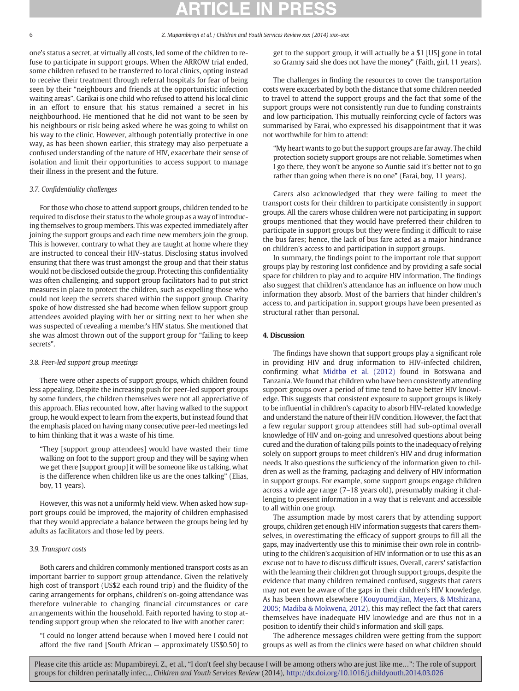one's status a secret, at virtually all costs, led some of the children to refuse to participate in support groups. When the ARROW trial ended, some children refused to be transferred to local clinics, opting instead to receive their treatment through referral hospitals for fear of being seen by their "neighbours and friends at the opportunistic infection waiting areas". Garikai is one child who refused to attend his local clinic in an effort to ensure that his status remained a secret in his neighbourhood. He mentioned that he did not want to be seen by his neighbours or risk being asked where he was going to whilst on his way to the clinic. However, although potentially protective in one way, as has been shown earlier, this strategy may also perpetuate a confused understanding of the nature of HIV, exacerbate their sense of isolation and limit their opportunities to access support to manage their illness in the present and the future.

### 3.7. Confidentiality challenges

For those who chose to attend support groups, children tended to be required to disclose their status to the whole group as a way of introducing themselves to group members. This was expected immediately after joining the support groups and each time new members join the group. This is however, contrary to what they are taught at home where they are instructed to conceal their HIV-status. Disclosing status involved ensuring that there was trust amongst the group and that their status would not be disclosed outside the group. Protecting this confidentiality was often challenging, and support group facilitators had to put strict measures in place to protect the children, such as expelling those who could not keep the secrets shared within the support group. Charity spoke of how distressed she had become when fellow support group attendees avoided playing with her or sitting next to her when she was suspected of revealing a member's HIV status. She mentioned that she was almost thrown out of the support group for "failing to keep secrets".

### 3.8. Peer-led support group meetings

There were other aspects of support groups, which children found less appealing. Despite the increasing push for peer-led support groups by some funders, the children themselves were not all appreciative of this approach. Elias recounted how, after having walked to the support group, he would expect to learn from the experts, but instead found that the emphasis placed on having many consecutive peer-led meetings led to him thinking that it was a waste of his time.

"They [support group attendees] would have wasted their time walking on foot to the support group and they will be saying when we get there [support group] it will be someone like us talking, what is the difference when children like us are the ones talking" (Elias, boy, 11 years).

However, this was not a uniformly held view. When asked how support groups could be improved, the majority of children emphasised that they would appreciate a balance between the groups being led by adults as facilitators and those led by peers.

### 3.9. Transport costs

Both carers and children commonly mentioned transport costs as an important barrier to support group attendance. Given the relatively high cost of transport (US\$2 each round trip) and the fluidity of the caring arrangements for orphans, children's on-going attendance was therefore vulnerable to changing financial circumstances or care arrangements within the household. Faith reported having to stop attending support group when she relocated to live with another carer:

"I could no longer attend because when I moved here I could not afford the five rand [South African — approximately US\$0.50] to get to the support group, it will actually be a \$1 [US] gone in total so Granny said she does not have the money" (Faith, girl, 11 years).

The challenges in finding the resources to cover the transportation costs were exacerbated by both the distance that some children needed to travel to attend the support groups and the fact that some of the support groups were not consistently run due to funding constraints and low participation. This mutually reinforcing cycle of factors was summarised by Farai, who expressed his disappointment that it was not worthwhile for him to attend:

"My heart wants to go but the support groups are far away. The child protection society support groups are not reliable. Sometimes when I go there, they won't be anyone so Auntie said it's better not to go rather than going when there is no one" (Farai, boy, 11 years).

Carers also acknowledged that they were failing to meet the transport costs for their children to participate consistently in support groups. All the carers whose children were not participating in support groups mentioned that they would have preferred their children to participate in support groups but they were finding it difficult to raise the bus fares; hence, the lack of bus fare acted as a major hindrance on children's access to and participation in support groups.

In summary, the findings point to the important role that support groups play by restoring lost confidence and by providing a safe social space for children to play and to acquire HIV information. The findings also suggest that children's attendance has an influence on how much information they absorb. Most of the barriers that hinder children's access to, and participation in, support groups have been presented as structural rather than personal.

### 4. Discussion

The findings have shown that support groups play a significant role in providing HIV and drug information to HIV-infected children, confirming what [Midtbø et al. \(2012\)](#page-6-0) found in Botswana and Tanzania. We found that children who have been consistently attending support groups over a period of time tend to have better HIV knowledge. This suggests that consistent exposure to support groups is likely to be influential in children's capacity to absorb HIV-related knowledge and understand the nature of their HIV condition. However, the fact that a few regular support group attendees still had sub-optimal overall knowledge of HIV and on-going and unresolved questions about being cured and the duration of taking pills points to the inadequacy of relying solely on support groups to meet children's HIV and drug information needs. It also questions the sufficiency of the information given to children as well as the framing, packaging and delivery of HIV information in support groups. For example, some support groups engage children across a wide age range (7–18 years old), presumably making it challenging to present information in a way that is relevant and accessible to all within one group.

The assumption made by most carers that by attending support groups, children get enough HIV information suggests that carers themselves, in overestimating the efficacy of support groups to fill all the gaps, may inadvertently use this to minimise their own role in contributing to the children's acquisition of HIV information or to use this as an excuse not to have to discuss difficult issues. Overall, carers' satisfaction with the learning their children got through support groups, despite the evidence that many children remained confused, suggests that carers may not even be aware of the gaps in their children's HIV knowledge. As has been shown elsewhere ([Kouyoumdjian, Meyers, & Mtshizana,](#page-6-0) [2005; Madiba & Mokwena, 2012](#page-6-0)), this may reflect the fact that carers themselves have inadequate HIV knowledge and are thus not in a position to identify their child's information and skill gaps.

The adherence messages children were getting from the support groups as well as from the clinics were based on what children should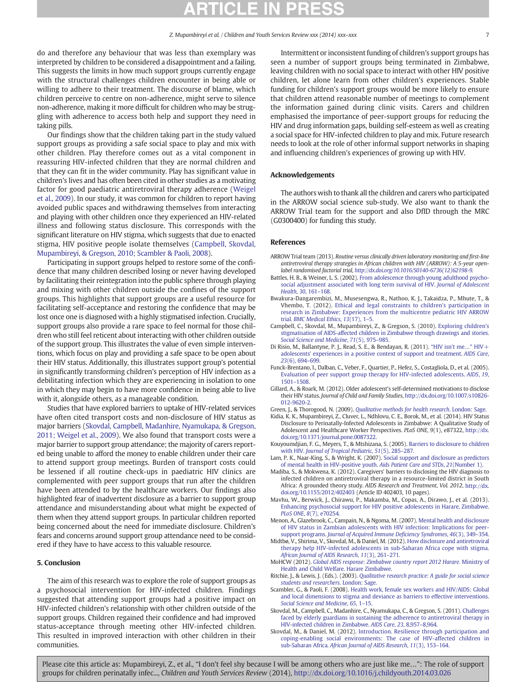<span id="page-6-0"></span>do and therefore any behaviour that was less than exemplary was interpreted by children to be considered a disappointment and a failing. This suggests the limits in how much support groups currently engage with the structural challenges children encounter in being able or willing to adhere to their treatment. The discourse of blame, which children perceive to centre on non-adherence, might serve to silence non-adherence, making it more difficult for children who may be struggling with adherence to access both help and support they need in taking pills.

Our findings show that the children taking part in the study valued support groups as providing a safe social space to play and mix with other children. Play therefore comes out as a vital component in reassuring HIV-infected children that they are normal children and that they can fit in the wider community. Play has significant value in children's lives and has often been cited in other studies as a motivating factor for good paediatric antiretroviral therapy adherence ([Weigel](#page-7-0) [et al., 2009](#page-7-0)). In our study, it was common for children to report having avoided public spaces and withdrawing themselves from interacting and playing with other children once they experienced an HIV-related illness and following status disclosure. This corresponds with the significant literature on HIV stigma, which suggests that due to enacted stigma, HIV positive people isolate themselves (Campbell, Skovdal, Mupambireyi, & Gregson, 2010; Scambler & Paoli, 2008).

Participating in support groups helped to restore some of the confidence that many children described losing or never having developed by facilitating their reintegration into the public sphere through playing and mixing with other children outside the confines of the support groups. This highlights that support groups are a useful resource for facilitating self-acceptance and restoring the confidence that may be lost once one is diagnosed with a highly stigmatised infection. Crucially, support groups also provide a rare space to feel normal for those children who still feel reticent about interacting with other children outside of the support group. This illustrates the value of even simple interventions, which focus on play and providing a safe space to be open about their HIV status. Additionally, this illustrates support group's potential in significantly transforming children's perception of HIV infection as a debilitating infection which they are experiencing in isolation to one in which they may begin to have more confidence in being able to live with it, alongside others, as a manageable condition.

Studies that have explored barriers to uptake of HIV-related services have often cited transport costs and non-disclosure of HIV status as major barriers (Skovdal, Campbell, Madanhire, Nyamukapa, & Gregson, 2011; Weigel et al., 2009). We also found that transport costs were a major barrier to support group attendance; the majority of carers reported being unable to afford the money to enable children under their care to attend support group meetings. Burden of transport costs could be lessened if all routine check-ups in paediatric HIV clinics are complemented with peer support groups that run after the children have been attended to by the healthcare workers. Our findings also highlighted fear of inadvertent disclosure as a barrier to support group attendance and misunderstanding about what might be expected of them when they attend support groups. In particular children reported being concerned about the need for immediate disclosure. Children's fears and concerns around support group attendance need to be considered if they have to have access to this valuable resource.

### 5. Conclusion

The aim of this research was to explore the role of support groups as a psychosocial intervention for HIV-infected children. Findings suggested that attending support groups had a positive impact on HIV-infected children's relationship with other children outside of the support groups. Children regained their confidence and had improved status-acceptance through meeting other HIV-infected children. This resulted in improved interaction with other children in their communities.

Intermittent or inconsistent funding of children's support groups has seen a number of support groups being terminated in Zimbabwe, leaving children with no social space to interact with other HIV positive children, let alone learn from other children's experiences. Stable funding for children's support groups would be more likely to ensure that children attend reasonable number of meetings to complement the information gained during clinic visits. Carers and children emphasised the importance of peer-support groups for reducing the HIV and drug information gaps, building self-esteem as well as creating a social space for HIV-infected children to play and mix. Future research needs to look at the role of other informal support networks in shaping and influencing children's experiences of growing up with HIV.

### Acknowledgements

The authors wish to thank all the children and carers who participated in the ARROW social science sub-study. We also want to thank the ARROW Trial team for the support and also DfID through the MRC (G0300400) for funding this study.

### References

- ARROW Trial team (2013). Routine versus clinically driven laboratory monitoring and first-line antiretroviral therapy strategies in African children with HIV (ARROW): A 5-year openlabel randomised factorial trial, http://dx.doi.org/[10.1016/S0140-6736\(12\)62198-9](http://dx.doi.org/10.1016/S0140-6736(12)62198-9).
- Battles, H. B., & Weiner, L. S. (2002). [From adolescence through young adulthood psycho](http://refhub.elsevier.com/S0190-7409(14)00132-7/rf0120)[social adjustment associated with long term survival of HIV.](http://refhub.elsevier.com/S0190-7409(14)00132-7/rf0120) Journal of Adolescent [Health](http://refhub.elsevier.com/S0190-7409(14)00132-7/rf0120), 30, 161–168.
- Bwakura-Dangarembizi, M., Musesengwa, R., Nathoo, K. J., Takaidza, P., Mhute, T., & Vhembo, T. (2012). [Ethical and legal constraints to children's participation in](http://refhub.elsevier.com/S0190-7409(14)00132-7/rf0125) [research in Zimbabwe: Experiences from the multicentre pediatric HIV ARROW](http://refhub.elsevier.com/S0190-7409(14)00132-7/rf0125) trial. [BMC Medical Ethics](http://refhub.elsevier.com/S0190-7409(14)00132-7/rf0125), 13(17), 1–5.
- Campbell, C., Skovdal, M., Mupambireyi, Z., & Gregson, S. (2010). [Exploring children's](http://refhub.elsevier.com/S0190-7409(14)00132-7/rf0015) [stigmatisation of AIDS-affected children in Zimbabwe through drawings and stories.](http://refhub.elsevier.com/S0190-7409(14)00132-7/rf0015) [Social Science and Medicine](http://refhub.elsevier.com/S0190-7409(14)00132-7/rf0015), 71(5), 975–985.
- Di Risio, M., Ballantyne, P. J., Read, S. E., & Bendayan, R. (2011). "[HIV isn't me](http://refhub.elsevier.com/S0190-7409(14)00132-7/rf0130)…" HIV+ [adolescents' experiences in a positive context of support and treatment.](http://refhub.elsevier.com/S0190-7409(14)00132-7/rf0130) AIDS Care, 23[\(6\), 694](http://refhub.elsevier.com/S0190-7409(14)00132-7/rf0130)–699.
- Funck-Brentano, I., Dalban, C., Veber, F., Quartier, P., Hefez, S., Costagliola, D., et al. (2005). [Evaluation of peer support group therapy for HIV-infected adolescents.](http://refhub.elsevier.com/S0190-7409(14)00132-7/rf0135) AIDS, 19, 1501–[1508.](http://refhub.elsevier.com/S0190-7409(14)00132-7/rf0135)
- Gillard, A., & Roark, M. (2012). Older adolescent's self-determined motivations to disclose their HIV status. Journal of Child and Family Studies, http://dx.doi.org/[10.1007/s10826-](http://dx.doi.org/10.1007/s10826-012-9620-2) [012-9620-2.](http://dx.doi.org/10.1007/s10826-012-9620-2)
- Green, J., & Thorogood, N. (2009). [Qualitative methods for health research.](http://refhub.elsevier.com/S0190-7409(14)00132-7/rf0035) London: Sage.
- Kidia, K. K., Mupambireyi, Z., Cluver, L., Ndhlovu, C. E., Borok, M., et al. (2014). HIV Status Disclosure to Perinatally-Infected Adolescents in Zimbabwe: A Qualitative Study of Adolescent and Healthcare Worker Perspectives. PLoS ONE, 9(1), e87322, http://dx. doi.org[/10.1371/journal.pone.0087322](http://dx.doi.org/10.1371/journal.pone.0087322).
- Kouyoumdjian, F. G., Meyers, T., & Mtshizana, S. (2005). [Barriers to disclosure to children](http://refhub.elsevier.com/S0190-7409(14)00132-7/rf0040) with HIV. [Journal of Tropical Pediatric](http://refhub.elsevier.com/S0190-7409(14)00132-7/rf0040), 51(5), 285–287.
- Lam, P. K., Naar-King, S., & Wright, K. (2007). [Social support and disclosure as predictors](http://refhub.elsevier.com/S0190-7409(14)00132-7/rf0150) [of mental health in HIV-positive youth.](http://refhub.elsevier.com/S0190-7409(14)00132-7/rf0150) Aids Patient Care and STDs, 21(Number 1).
- Madiba, S., & Mokwena, K. (2012). Caregivers' barriers to disclosing the HIV diagnosis to infected children on antiretroviral therapy in a resource-limited district in South Africa: A grounded theory study. AIDS Research and Treatment, Vol. 2012, http://dx. doi.org[/10.1155/2012/402403](http://dx.doi.org/10.1155/2012/402403) (Article ID 402403, 10 pages).
- Mavhu, W., Berwick, J., Chirawu, P., Makamba, M., Copas, A., Dirawo, J., et al. (2013). [Enhancing psychosocial support for HIV positive adolescents in Harare, Zimbabwe.](http://refhub.elsevier.com/S0190-7409(14)00132-7/rf0055) PLoS ONE, 8[\(7\), e70254.](http://refhub.elsevier.com/S0190-7409(14)00132-7/rf0055)
- Menon, A., Glazebrook, C., Campain, N., & Ngoma, M. (2007). [Mental health and disclosure](http://refhub.elsevier.com/S0190-7409(14)00132-7/rf0060) [of HIV status in Zambian adolescents with HIV infection: Implications for peer](http://refhub.elsevier.com/S0190-7409(14)00132-7/rf0060)support programs. [Journal of Acquired Immune De](http://refhub.elsevier.com/S0190-7409(14)00132-7/rf0060)ficiency Syndromes, 46(3), 349–354.
- Midtbø, V., Shirima, V., Skovdal, M., & Daniel, M. (2012). [How disclosure and antiretroviral](http://refhub.elsevier.com/S0190-7409(14)00132-7/rf0065) [therapy help HIV-infected adolescents in sub-Saharan Africa cope with stigma.](http://refhub.elsevier.com/S0190-7409(14)00132-7/rf0065) [African Journal of AIDS Research](http://refhub.elsevier.com/S0190-7409(14)00132-7/rf0065), 11(3), 261–271.
- MoHCW (2012). [Global AIDS response: Zimbabwe country report 2012 Harare.](http://refhub.elsevier.com/S0190-7409(14)00132-7/rf0160) Ministry of [Health and Child Welfare. Harare Zimbabwe.](http://refhub.elsevier.com/S0190-7409(14)00132-7/rf0160)
- Ritchie, J., & Lewis, J. (Eds.). (2003). [Qualitative research practice: A guide for social science](http://refhub.elsevier.com/S0190-7409(14)00132-7/rf0165) [students and researchers](http://refhub.elsevier.com/S0190-7409(14)00132-7/rf0165). London: Sage.
- Scambler, G., & Paoli, F. (2008). [Health work, female sex workers and HIV/AIDS: Global](http://refhub.elsevier.com/S0190-7409(14)00132-7/rf0075) [and local dimensions to stigma and deviance as barriers to effective interventions.](http://refhub.elsevier.com/S0190-7409(14)00132-7/rf0075) [Social Science and Medicine](http://refhub.elsevier.com/S0190-7409(14)00132-7/rf0075), 65, 1–15.
- Skovdal, M., Campbell, C., Madanhire, C., Nyamukapa, C., & Gregson, S. (2011). [Challenges](http://refhub.elsevier.com/S0190-7409(14)00132-7/rf0080) [faced by elderly guardians in sustaining the adherence to antiretroviral therapy in](http://refhub.elsevier.com/S0190-7409(14)00132-7/rf0080) [HIV-infected children in Zimbabwe.](http://refhub.elsevier.com/S0190-7409(14)00132-7/rf0080) AIDS Care, 23, 8,957–8,964.
- Skovdal, M., & Daniel, M. (2012). [Introduction. Resilience through participation and](http://refhub.elsevier.com/S0190-7409(14)00132-7/rf0170) [coping-enabling social environments: The case of HIV-affected children in](http://refhub.elsevier.com/S0190-7409(14)00132-7/rf0170) sub-Saharan Africa. [African Journal of AIDS Research](http://refhub.elsevier.com/S0190-7409(14)00132-7/rf0170), 11(3), 153–164.